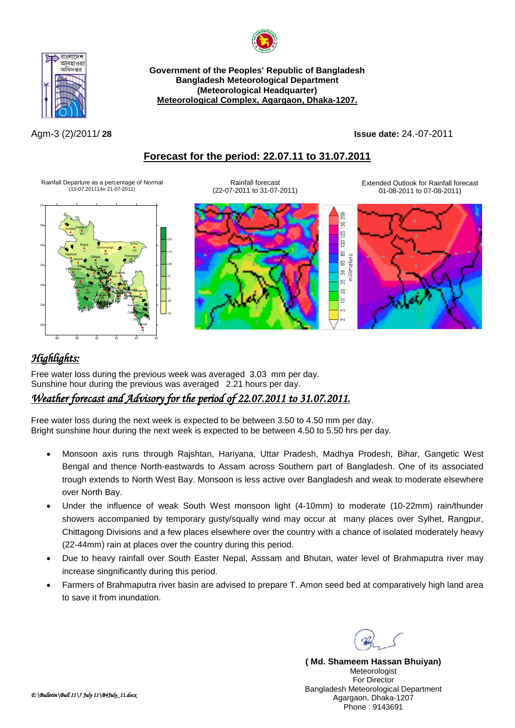



**Government of the Peoples' Republic of Bangladesh Bangladesh Meteorological Department (Meteorological Headquarter) Meteorological Complex, Agargaon, Dhaka-1207.**

Agm-3 (2)/2011/ **28 Issue date:** 24.-07-2011

## **Forecast for the period: 22.07.11 to 31.07.2011**

Rainfall Departure as a percentage of Normal (15-07.201114o 21-07-2011)



Rainfall forecast (22-07-2011 to 31-07-2011) Extended Outlook for Rainfall forecast 01-08-2011 to 07-08-2011)



## *Highlights:*

Free water loss during the previous week was averaged 3.03 mm per day. Sunshine hour during the previous was averaged 2.21 hours per day.

## *Weather forecast and Advisory for the period of 22.07.2011 to 31.07.2011.*

Free water loss during the next week is expected to be between 3.50 to 4.50 mm per day. Bright sunshine hour during the next week is expected to be between 4.50 to 5.50 hrs per day.

- Monsoon axis runs through Rajshtan, Hariyana, Uttar Pradesh, Madhya Prodesh, Bihar, Gangetic West Bengal and thence North-eastwards to Assam across Southern part of Bangladesh. One of its associated trough extends to North West Bay. Monsoon is less active over Bangladesh and weak to moderate elsewhere over North Bay.
- Under the influence of weak South West monsoon light (4-10mm) to moderate (10-22mm) rain/thunder showers accompanied by temporary gusty/squally wind may occur at many places over Sylhet, Rangpur, Chittagong Divisions and a few places elsewhere over the country with a chance of isolated moderately heavy (22-44mm) rain at places over the country during this period.
- Due to heavy rainfall over South Easter Nepal, Asssam and Bhutan, water level of Brahmaputra river may increase singnificantly during this period.
- Farmers of Brahmaputra river basin are advised to prepare T. Amon seed bed at comparatively high land area to save it from inundation.

**( Md. Shameem Hassan Bhuiyan)** Meteorologist For Director Bangladesh Meteorological Department Agargaon, Dhaka-1207 Phone : 9143691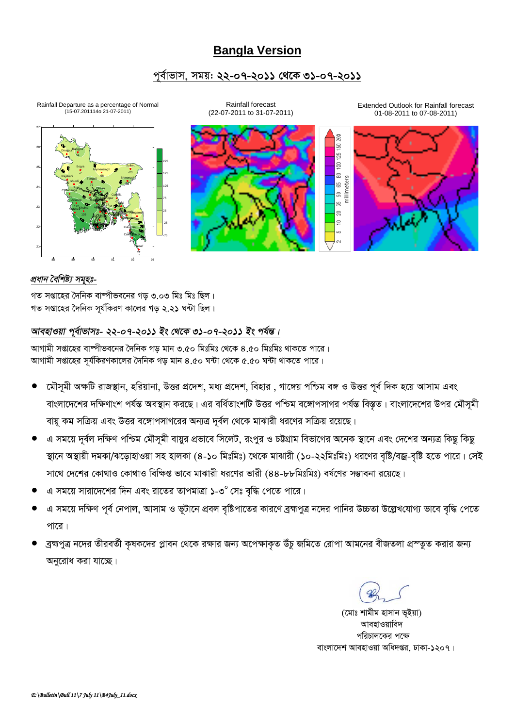# **Bangla Version**

## <u>পৰ্বাভাস, সময়: ২২-০৭-২০১১ থেকে ৩১-০৭-২০১১</u>

Rainfall Departure as a percentage of Normal (15-07.201114o 21-07-2011)



Rainfall forecast (22-07-2011 to 31-07-2011) Extended Outlook for Rainfall forecast 01-08-2011 to 07-08-2011)



### *প্ৰধান বৈশিষ্ট্য সমৃহঃ-*

 $\frac{1}{2}$ সপ্তাহের দৈনিক বাষ্পীভবনের গড় ৩.০৩ মিঃ মিঃ ছিল।  $\frac{1}{2}$ সপ্তাহের দৈনিক সর্যকিরণ কালের গড় ২.২**১** ঘন্টা ছিল।

## *আবহাওয়া পূৰ্বাভাসঃ- ২২-০৭-২০১১ ইং থেকে ৩১-০৭-২০১১ ইং পৰ্যন্ত।*

*আ*গামী সপ্তাহের বাম্পীভবনের দৈনিক গড় মান ৩.৫০ মিঃমিঃ থেকে ৪.৫০ মিঃমিঃ থাকতে পারে। *AvMvgx mßv‡ni m~h©wKiYKv‡ji ˆ`wbK Mo gvb 4.50 N›Uv †\_‡K 5.50 N›Uv \_vK‡Z cv‡i|*

- *মৌসমী অক্ষটি রাজস্থান, হরিয়ানা, উত্তর প্রদেশ, মধ্য প্রদেশ, বিহার , গাঙ্গেয় পশ্চিম বঙ্গ ও উত্তর পূর্ব দিক হয়ে আসাম এবং বাংলাদেশের দ*ক্ষিণাংশ পর্যন্ত অবস্থান করছে। এর বর্ধিতাংশটি উত্তর পশ্চিম বঙ্গোপসাগর পর্যন্ত বিস্তৃত। বাংলাদেশের উপর মৌসূমী বায়ু কম সক্রিয় এবং উত্তর বঙ্গোপসাগরের অন্যত্র দূর্বল থেকে মাঝারী ধরণের সক্রিয় রয়েছে।
- এ সময়ে দূর্বল দক্ষিণ পশ্চিম মৌসূমী বায়ুর প্রভাবে সিলেট, রংপুর ও চউগ্রাম বিভাগের অনেক স্থানে এবং দেশের অন্যত্র কিছু কিছু স্থানে অস্থায়ী দমকা/ঝড়োহাওয়া সহ হালকা (৪-১০ মিঃমিঃ) থেকে মাঝারী (১০-২২মিঃমিঃ) ধরণের বৃষ্টি/বজ্র-বৃষ্টি হতে পারে। সেই সাথে দেশের কোথাও কোথাও বিক্ষিপ্ত ভাবে মাঝারী ধরণের ভারী (৪৪-৮৮মিঃমিঃ) বর্ষণের সম্ভাবনা রয়েছে।
- $G$  সময়ে সারাদেশের দিন এবং রাতের তাপমাত্রা ১-৩ $^\circ$  সেঃ বৃদ্ধি পেতে পারে।
- *এ* সময়ে দক্ষিণ পূর্ব নেপাল, আসাম ও ভূটানে প্রবল বৃষ্টিপাতের কারণে ব্রহ্মপুত্র নদের পানির উচ্চতা উল্লেখযোগ্য ভাবে বৃদ্ধি পেতে <u>পারে।</u>
- *ব্রহ্মপু*ত্র নদের তীরবর্তী কৃষকদের প্লাবন থেকে রক্ষার জন্য অপেক্ষাকৃত উঁচু জমিতে রোপা আমনের বীজতলা প্রস্তুত করার জন্য **অনুরোধ করা যাচ্ছে।**

*(‡gvt kvgxg nvmvb f~Bqv)* অাবহাওয়াবিদ পরিচালকের পক্ষে  *evsjv‡`k AvenvIqv Awa`ßi, XvKv-1207|*